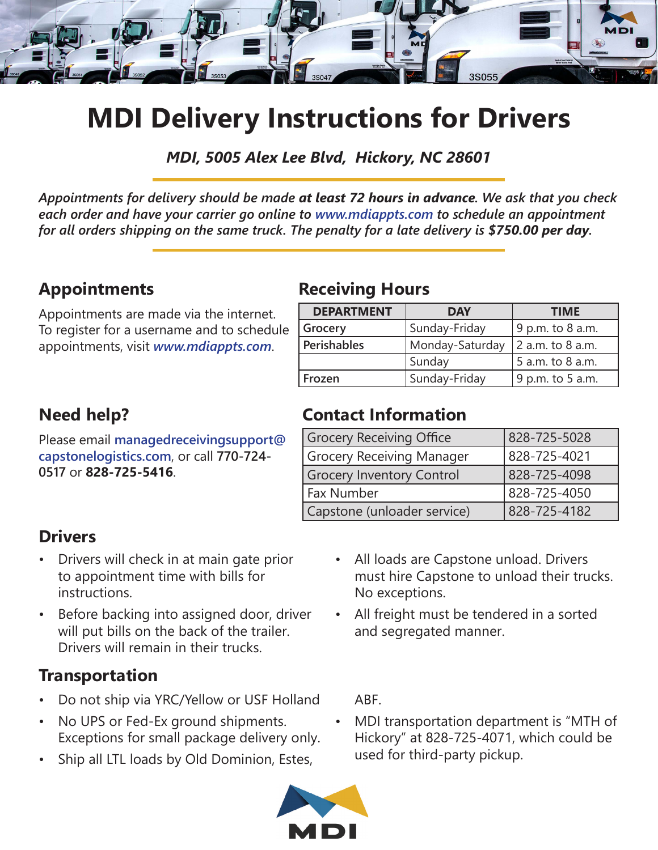

## **MDI Delivery Instructions for Drivers**

*MDI, 5005 Alex Lee Blvd, Hickory, NC 28601*

*Appointments for delivery should be made at least 72 hours in advance. We ask that you check each order and have your carrier go online to www.mdiappts.com to schedule an appointment for all orders shipping on the same truck. The penalty for a late delivery is \$750.00 per day.*

#### **Appointments**

Appointments are made via the internet. To register for a username and to schedule appointments, visit *www.mdiappts.com*.

### **Need help?**

Please email **managedreceivingsupport@ capstonelogistics.com**, or call **770-724- 0517** or **828-725-5416**.

## **Receiving Hours**

| <b>DEPARTMENT</b> | <b>DAY</b>      | <b>TIME</b>      |  |
|-------------------|-----------------|------------------|--|
| Grocery           | Sunday-Friday   | 9 p.m. to 8 a.m. |  |
| Perishables       | Monday-Saturday | 2 a.m. to 8 a.m. |  |
|                   | Sunday          | 5 a.m. to 8 a.m. |  |
| Frozen            | Sunday-Friday   | 9 p.m. to 5 a.m. |  |

## **Contact Information**

| <b>Grocery Receiving Office</b>  | 828-725-5028 |
|----------------------------------|--------------|
| <b>Grocery Receiving Manager</b> | 828-725-4021 |
| <b>Grocery Inventory Control</b> | 828-725-4098 |
| Fax Number                       | 828-725-4050 |
| Capstone (unloader service)      | 828-725-4182 |

#### **Drivers**

- Drivers will check in at main gate prior to appointment time with bills for instructions.
- Before backing into assigned door, driver will put bills on the back of the trailer. Drivers will remain in their trucks.

## **Transportation**

- Do not ship via YRC/Yellow or USF Holland
- No UPS or Fed-Ex ground shipments. Exceptions for small package delivery only.
- Ship all LTL loads by Old Dominion, Estes,



- All loads are Capstone unload. Drivers must hire Capstone to unload their trucks. No exceptions.
- All freight must be tendered in a sorted and segregated manner.

ABF.

• MDI transportation department is "MTH of Hickory" at 828-725-4071, which could be used for third-party pickup.